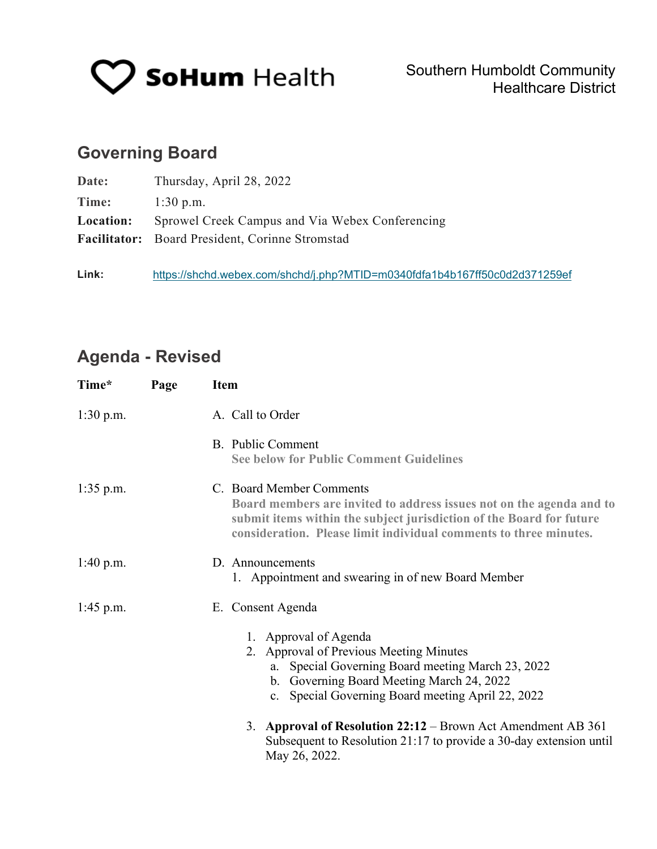

# **Governing Board**

| Date:     | Thursday, April 28, 2022                               |  |
|-----------|--------------------------------------------------------|--|
| Time:     | $1:30$ p.m.                                            |  |
| Location: | Sprowel Creek Campus and Via Webex Conferencing        |  |
|           | <b>Facilitator:</b> Board President, Corinne Stromstad |  |
|           |                                                        |  |

**Link:** <https://shchd.webex.com/shchd/j.php?MTID=m0340fdfa1b4b167ff50c0d2d371259ef>

# **Agenda - Revised**

| Time*       | Page | <b>Item</b>                                                                                                                                                                                                                                                                             |  |  |  |
|-------------|------|-----------------------------------------------------------------------------------------------------------------------------------------------------------------------------------------------------------------------------------------------------------------------------------------|--|--|--|
| $1:30$ p.m. |      | A. Call to Order                                                                                                                                                                                                                                                                        |  |  |  |
|             |      | B. Public Comment<br><b>See below for Public Comment Guidelines</b>                                                                                                                                                                                                                     |  |  |  |
| $1:35$ p.m. |      | C. Board Member Comments<br>Board members are invited to address issues not on the agenda and to<br>submit items within the subject jurisdiction of the Board for future<br>consideration. Please limit individual comments to three minutes.                                           |  |  |  |
| $1:40$ p.m. |      | D. Announcements<br>1. Appointment and swearing in of new Board Member                                                                                                                                                                                                                  |  |  |  |
| $1:45$ p.m. |      | E. Consent Agenda                                                                                                                                                                                                                                                                       |  |  |  |
|             |      | 1. Approval of Agenda<br>2. Approval of Previous Meeting Minutes<br>a. Special Governing Board meeting March 23, 2022<br>b. Governing Board Meeting March 24, 2022<br>c. Special Governing Board meeting April 22, 2022<br>3. Approval of Resolution 22:12 – Brown Act Amendment AB 361 |  |  |  |
|             |      | Subsequent to Resolution 21:17 to provide a 30-day extension until<br>May 26, 2022.                                                                                                                                                                                                     |  |  |  |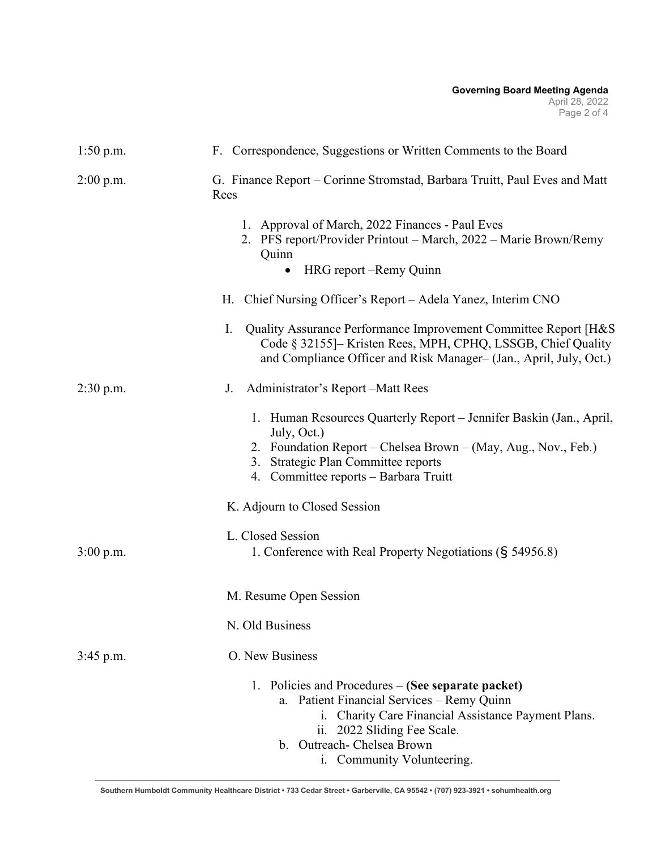#### **Governing Board Meeting Agenda** April 28, 2022 Page 2 of 4

| $1:50$ p.m. | F. Correspondence, Suggestions or Written Comments to the Board                                                                                                                                                                                    |  |  |
|-------------|----------------------------------------------------------------------------------------------------------------------------------------------------------------------------------------------------------------------------------------------------|--|--|
| $2:00$ p.m. | G. Finance Report – Corinne Stromstad, Barbara Truitt, Paul Eves and Matt<br>Rees                                                                                                                                                                  |  |  |
|             | 1. Approval of March, 2022 Finances - Paul Eves<br>2. PFS report/Provider Printout - March, 2022 - Marie Brown/Remy<br>Quinn<br>HRG report – Remy Quinn<br>$\bullet$                                                                               |  |  |
|             | H. Chief Nursing Officer's Report – Adela Yanez, Interim CNO                                                                                                                                                                                       |  |  |
|             | I.<br>Quality Assurance Performance Improvement Committee Report [H&S]<br>Code § 32155]– Kristen Rees, MPH, CPHQ, LSSGB, Chief Quality<br>and Compliance Officer and Risk Manager- (Jan., April, July, Oct.)                                       |  |  |
| $2:30$ p.m. | Administrator's Report-Matt Rees<br>J.                                                                                                                                                                                                             |  |  |
|             | 1. Human Resources Quarterly Report – Jennifer Baskin (Jan., April,<br>July, Oct.)<br>2. Foundation Report – Chelsea Brown – (May, Aug., Nov., Feb.)<br>3. Strategic Plan Committee reports<br>4. Committee reports - Barbara Truitt               |  |  |
|             | K. Adjourn to Closed Session                                                                                                                                                                                                                       |  |  |
| $3:00$ p.m. | L. Closed Session<br>1. Conference with Real Property Negotiations (§ 54956.8)                                                                                                                                                                     |  |  |
|             | M. Resume Open Session                                                                                                                                                                                                                             |  |  |
|             | N. Old Business                                                                                                                                                                                                                                    |  |  |
| $3:45$ p.m. | O. New Business                                                                                                                                                                                                                                    |  |  |
|             | 1. Policies and Procedures – (See separate packet)<br>a. Patient Financial Services - Remy Quinn<br>i. Charity Care Financial Assistance Payment Plans.<br>ii. 2022 Sliding Fee Scale.<br>b. Outreach- Chelsea Brown<br>i. Community Volunteering. |  |  |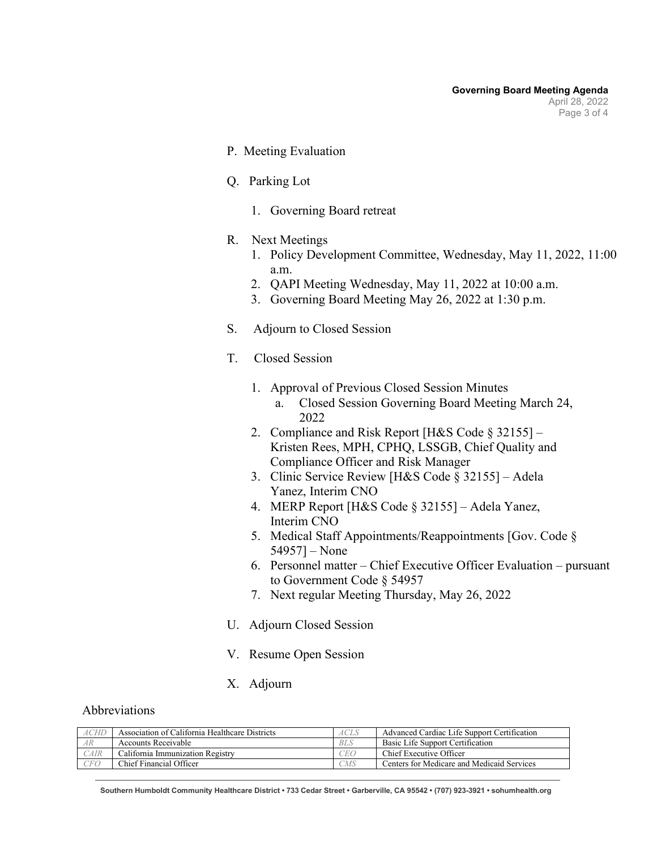- P. Meeting Evaluation
- Q. Parking Lot
	- 1. Governing Board retreat
- R. Next Meetings
	- 1. Policy Development Committee, Wednesday, May 11, 2022, 11:00 a.m.
	- 2. QAPI Meeting Wednesday, May 11, 2022 at 10:00 a.m.
	- 3. Governing Board Meeting May 26, 2022 at 1:30 p.m.
- S. Adjourn to Closed Session
- T. Closed Session
	- 1. Approval of Previous Closed Session Minutes a. Closed Session Governing Board Meeting March 24, 2022
	- 2. Compliance and Risk Report [H&S Code § 32155] Kristen Rees, MPH, CPHQ, LSSGB, Chief Quality and Compliance Officer and Risk Manager
	- 3. Clinic Service Review [H&S Code § 32155] Adela Yanez, Interim CNO
	- 4. MERP Report [H&S Code § 32155] Adela Yanez, Interim CNO
	- 5. Medical Staff Appointments/Reappointments [Gov. Code § 54957] – None
	- 6. Personnel matter Chief Executive Officer Evaluation pursuant to Government Code § 54957
	- 7. Next regular Meeting Thursday, May 26, 2022
- U. Adjourn Closed Session
- V. Resume Open Session
- X. Adjourn

### Abbreviations

| <b>ACHE</b> | Association of California Healthcare Districts | <b>ACLS</b> | Advanced Cardiac Life Support Certification |
|-------------|------------------------------------------------|-------------|---------------------------------------------|
| AR          | Accounts Receivable                            | <b>BLS</b>  | Basic Life Support Certification            |
| CAIR        | California Immunization Registry               | CEO         | Chief Executive Officer                     |
| <b>CFO</b>  | Chief Financial Officer                        | CMS         | Centers for Medicare and Medicaid Services  |

**Southern Humboldt Community Healthcare District • 733 Cedar Street • Garberville, CA 95542 • (707) 923-3921 • sohumhealth.org**